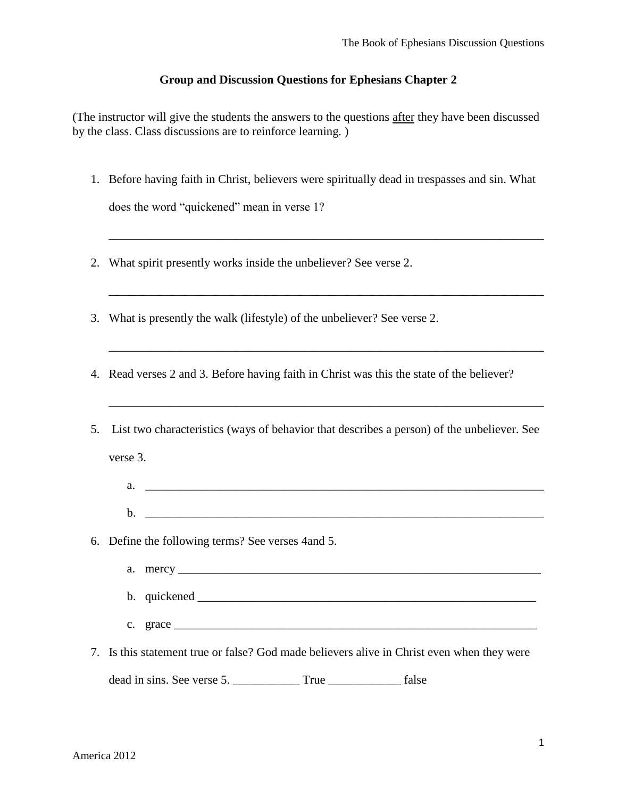## **Group and Discussion Questions for Ephesians Chapter 2**

(The instructor will give the students the answers to the questions after they have been discussed by the class. Class discussions are to reinforce learning. )

1. Before having faith in Christ, believers were spiritually dead in trespasses and sin. What does the word "quickened" mean in verse 1?

\_\_\_\_\_\_\_\_\_\_\_\_\_\_\_\_\_\_\_\_\_\_\_\_\_\_\_\_\_\_\_\_\_\_\_\_\_\_\_\_\_\_\_\_\_\_\_\_\_\_\_\_\_\_\_\_\_\_\_\_\_\_\_\_\_\_\_\_\_\_\_\_

\_\_\_\_\_\_\_\_\_\_\_\_\_\_\_\_\_\_\_\_\_\_\_\_\_\_\_\_\_\_\_\_\_\_\_\_\_\_\_\_\_\_\_\_\_\_\_\_\_\_\_\_\_\_\_\_\_\_\_\_\_\_\_\_\_\_\_\_\_\_\_\_

\_\_\_\_\_\_\_\_\_\_\_\_\_\_\_\_\_\_\_\_\_\_\_\_\_\_\_\_\_\_\_\_\_\_\_\_\_\_\_\_\_\_\_\_\_\_\_\_\_\_\_\_\_\_\_\_\_\_\_\_\_\_\_\_\_\_\_\_\_\_\_\_

\_\_\_\_\_\_\_\_\_\_\_\_\_\_\_\_\_\_\_\_\_\_\_\_\_\_\_\_\_\_\_\_\_\_\_\_\_\_\_\_\_\_\_\_\_\_\_\_\_\_\_\_\_\_\_\_\_\_\_\_\_\_\_\_\_\_\_\_\_\_\_\_

- 2. What spirit presently works inside the unbeliever? See verse 2.
- 3. What is presently the walk (lifestyle) of the unbeliever? See verse 2.
- 4. Read verses 2 and 3. Before having faith in Christ was this the state of the believer?

| 5. List two characteristics (ways of behavior that describes a person) of the unbeliever. See                                                                                                                                                                                                                                                                                                               |
|-------------------------------------------------------------------------------------------------------------------------------------------------------------------------------------------------------------------------------------------------------------------------------------------------------------------------------------------------------------------------------------------------------------|
| verse 3.                                                                                                                                                                                                                                                                                                                                                                                                    |
| a.                                                                                                                                                                                                                                                                                                                                                                                                          |
|                                                                                                                                                                                                                                                                                                                                                                                                             |
| 6. Define the following terms? See verses 4 and 5.                                                                                                                                                                                                                                                                                                                                                          |
|                                                                                                                                                                                                                                                                                                                                                                                                             |
|                                                                                                                                                                                                                                                                                                                                                                                                             |
| c. grace $\frac{1}{\sqrt{1-\frac{1}{2}}\sqrt{1-\frac{1}{2}}\sqrt{1-\frac{1}{2}}\sqrt{1-\frac{1}{2}}\sqrt{1-\frac{1}{2}}\sqrt{1-\frac{1}{2}}\sqrt{1-\frac{1}{2}}\sqrt{1-\frac{1}{2}}\sqrt{1-\frac{1}{2}}\sqrt{1-\frac{1}{2}}\sqrt{1-\frac{1}{2}}\sqrt{1-\frac{1}{2}}\sqrt{1-\frac{1}{2}}\sqrt{1-\frac{1}{2}}\sqrt{1-\frac{1}{2}}\sqrt{1-\frac{1}{2}}\sqrt{1-\frac{1}{2}}\sqrt{1-\frac{1}{2}}\sqrt{1-\frac{1$ |
| 7. Is this statement true or false? God made believers alive in Christ even when they were                                                                                                                                                                                                                                                                                                                  |
| dead in sins. See verse 5.                                                                                                                                                                                                                                                                                                                                                                                  |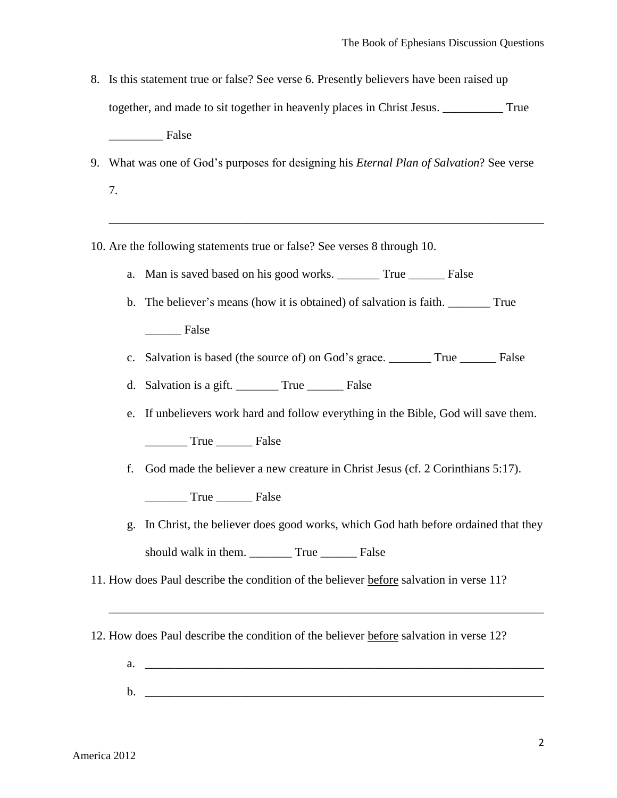- 8. Is this statement true or false? See verse 6. Presently believers have been raised up together, and made to sit together in heavenly places in Christ Jesus. \_\_\_\_\_\_\_\_\_\_ True False
- 9. What was one of God's purposes for designing his *Eternal Plan of Salvation*? See verse
	- 7.

10. Are the following statements true or false? See verses 8 through 10.

- a. Man is saved based on his good works. \_\_\_\_\_\_\_ True \_\_\_\_\_\_ False
- b. The believer's means (how it is obtained) of salvation is faith. \_\_\_\_\_\_\_ True \_\_\_\_\_\_ False

\_\_\_\_\_\_\_\_\_\_\_\_\_\_\_\_\_\_\_\_\_\_\_\_\_\_\_\_\_\_\_\_\_\_\_\_\_\_\_\_\_\_\_\_\_\_\_\_\_\_\_\_\_\_\_\_\_\_\_\_\_\_\_\_\_\_\_\_\_\_\_\_

- c. Salvation is based (the source of) on God's grace. \_\_\_\_\_\_\_ True \_\_\_\_\_\_ False
- d. Salvation is a gift. \_\_\_\_\_\_\_ True \_\_\_\_\_\_ False
- e. If unbelievers work hard and follow everything in the Bible, God will save them. \_\_\_\_\_\_\_ True \_\_\_\_\_\_ False
- f. God made the believer a new creature in Christ Jesus (cf. 2 Corinthians 5:17).

True False

g. In Christ, the believer does good works, which God hath before ordained that they should walk in them. True False

11. How does Paul describe the condition of the believer before salvation in verse 11?

12. How does Paul describe the condition of the believer before salvation in verse 12?

b. \_\_\_\_\_\_\_\_\_\_\_\_\_\_\_\_\_\_\_\_\_\_\_\_\_\_\_\_\_\_\_\_\_\_\_\_\_\_\_\_\_\_\_\_\_\_\_\_\_\_\_\_\_\_\_\_\_\_\_\_\_\_\_\_\_\_

a.  $\Box$ 

\_\_\_\_\_\_\_\_\_\_\_\_\_\_\_\_\_\_\_\_\_\_\_\_\_\_\_\_\_\_\_\_\_\_\_\_\_\_\_\_\_\_\_\_\_\_\_\_\_\_\_\_\_\_\_\_\_\_\_\_\_\_\_\_\_\_\_\_\_\_\_\_